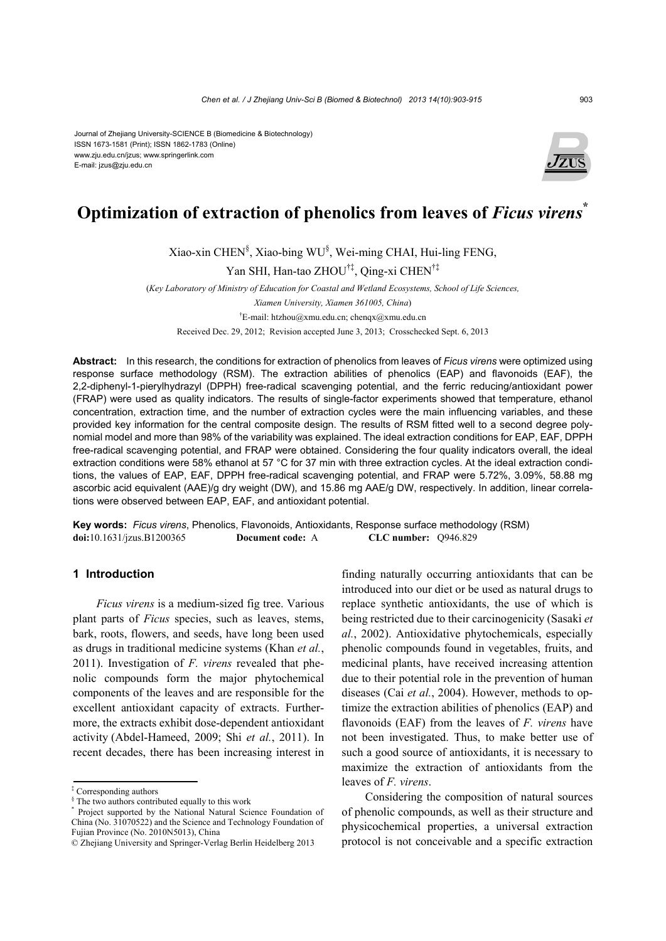#### Journal of Zhejiang University-SCIENCE B (Biomedicine & Biotechnology) ISSN 1673-1581 (Print); ISSN 1862-1783 (Online) www.zju.edu.cn/jzus; www.springerlink.com E-mail: jzus@zju.edu.cn



# **Optimization of extraction of phenolics from leaves of** *Ficus virens***\***

Xiao-xin CHEN§ , Xiao-bing WU§ , Wei-ming CHAI, Hui-ling FENG,

Yan SHI, Han-tao ZHOU†‡, Qing-xi CHEN†‡

(*Key Laboratory of Ministry of Education for Coastal and Wetland Ecosystems, School of Life Sciences,* 

*Xiamen University, Xiamen 361005, China*)

† E-mail: htzhou@xmu.edu.cn; chenqx@xmu.edu.cn

Received Dec. 29, 2012; Revision accepted June 3, 2013; Crosschecked Sept. 6, 2013

**Abstract:** In this research, the conditions for extraction of phenolics from leaves of *Ficus virens* were optimized using response surface methodology (RSM). The extraction abilities of phenolics (EAP) and flavonoids (EAF), the 2,2-diphenyl-1-pierylhydrazyl (DPPH) free-radical scavenging potential, and the ferric reducing/antioxidant power (FRAP) were used as quality indicators. The results of single-factor experiments showed that temperature, ethanol concentration, extraction time, and the number of extraction cycles were the main influencing variables, and these provided key information for the central composite design. The results of RSM fitted well to a second degree polynomial model and more than 98% of the variability was explained. The ideal extraction conditions for EAP, EAF, DPPH free-radical scavenging potential, and FRAP were obtained. Considering the four quality indicators overall, the ideal extraction conditions were 58% ethanol at 57 °C for 37 min with three extraction cycles. At the ideal extraction conditions, the values of EAP, EAF, DPPH free-radical scavenging potential, and FRAP were 5.72%, 3.09%, 58.88 mg ascorbic acid equivalent (AAE)/g dry weight (DW), and 15.86 mg AAE/g DW, respectively. In addition, linear correlations were observed between EAP, EAF, and antioxidant potential.

**Key words:** *Ficus virens*, Phenolics, Flavonoids, Antioxidants, Response surface methodology (RSM) **doi:**10.1631/jzus.B1200365 **Document code:** A **CLC number:** Q946.829

## **1 Introduction**

*Ficus virens* is a medium-sized fig tree. Various plant parts of *Ficus* species, such as leaves, stems, bark, roots, flowers, and seeds, have long been used as drugs in traditional medicine systems (Khan *et al.*, 2011). Investigation of *F. virens* revealed that phenolic compounds form the major phytochemical components of the leaves and are responsible for the excellent antioxidant capacity of extracts. Furthermore, the extracts exhibit dose-dependent antioxidant activity (Abdel-Hameed, 2009; Shi *et al.*, 2011). In recent decades, there has been increasing interest in

finding naturally occurring antioxidants that can be introduced into our diet or be used as natural drugs to replace synthetic antioxidants, the use of which is being restricted due to their carcinogenicity (Sasaki *et al.*, 2002). Antioxidative phytochemicals, especially phenolic compounds found in vegetables, fruits, and medicinal plants, have received increasing attention due to their potential role in the prevention of human diseases (Cai *et al.*, 2004). However, methods to optimize the extraction abilities of phenolics (EAP) and flavonoids (EAF) from the leaves of *F. virens* have not been investigated. Thus, to make better use of such a good source of antioxidants, it is necessary to maximize the extraction of antioxidants from the leaves of *F. virens*.

Considering the composition of natural sources of phenolic compounds, as well as their structure and physicochemical properties, a universal extraction protocol is not conceivable and a specific extraction

<sup>‡</sup> Corresponding authors

 $\frac{1}{2}$  The two authors contributed equally to this work  $*$  Project supported by the Metianal Natural Soir

Project supported by the National Natural Science Foundation of China (No. 31070522) and the Science and Technology Foundation of Fujian Province (No. 2010N5013), China

<sup>©</sup> Zhejiang University and Springer-Verlag Berlin Heidelberg 2013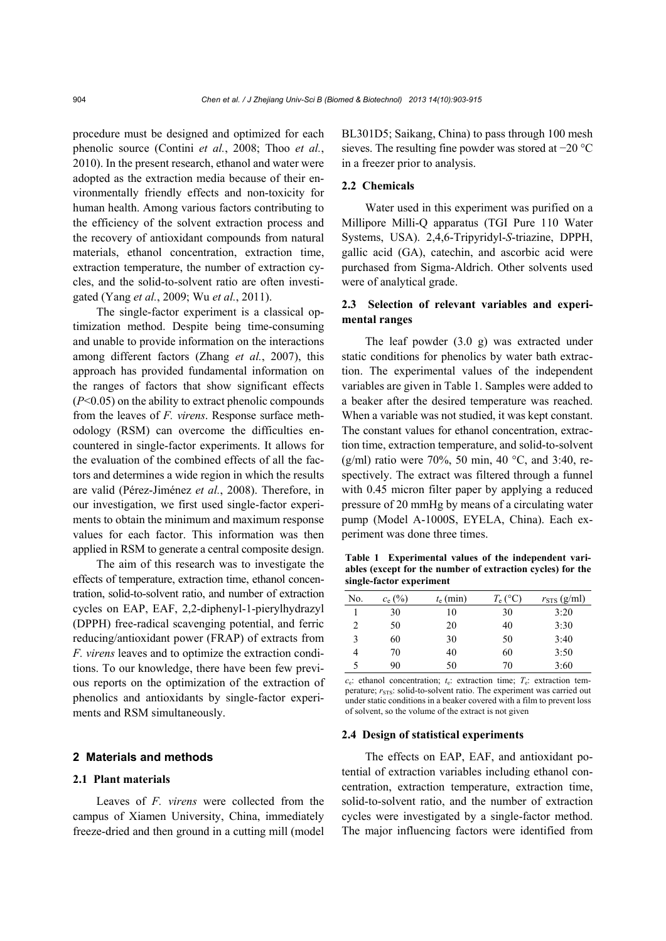procedure must be designed and optimized for each phenolic source (Contini *et al.*, 2008; Thoo *et al.*, 2010). In the present research, ethanol and water were adopted as the extraction media because of their environmentally friendly effects and non-toxicity for human health. Among various factors contributing to the efficiency of the solvent extraction process and the recovery of antioxidant compounds from natural materials, ethanol concentration, extraction time, extraction temperature, the number of extraction cycles, and the solid-to-solvent ratio are often investigated (Yang *et al.*, 2009; Wu *et al.*, 2011).

The single-factor experiment is a classical optimization method. Despite being time-consuming and unable to provide information on the interactions among different factors (Zhang *et al.*, 2007), this approach has provided fundamental information on the ranges of factors that show significant effects (*P*<0.05) on the ability to extract phenolic compounds from the leaves of *F. virens*. Response surface methodology (RSM) can overcome the difficulties encountered in single-factor experiments. It allows for the evaluation of the combined effects of all the factors and determines a wide region in which the results are valid (Pérez-Jiménez *et al.*, 2008). Therefore, in our investigation, we first used single-factor experiments to obtain the minimum and maximum response values for each factor. This information was then applied in RSM to generate a central composite design.

The aim of this research was to investigate the effects of temperature, extraction time, ethanol concentration, solid-to-solvent ratio, and number of extraction cycles on EAP, EAF, 2,2-diphenyl-1-pierylhydrazyl (DPPH) free-radical scavenging potential, and ferric reducing/antioxidant power (FRAP) of extracts from *F. virens* leaves and to optimize the extraction conditions. To our knowledge, there have been few previous reports on the optimization of the extraction of phenolics and antioxidants by single-factor experiments and RSM simultaneously.

## **2 Materials and methods**

# **2.1 Plant materials**

Leaves of *F. virens* were collected from the campus of Xiamen University, China, immediately freeze-dried and then ground in a cutting mill (model BL301D5; Saikang, China) to pass through 100 mesh sieves. The resulting fine powder was stored at −20 °C in a freezer prior to analysis.

# **2.2 Chemicals**

Water used in this experiment was purified on a Millipore Milli-Q apparatus (TGI Pure 110 Water Systems, USA). 2,4,6-Tripyridyl-*S*-triazine, DPPH, gallic acid (GA), catechin, and ascorbic acid were purchased from Sigma-Aldrich. Other solvents used were of analytical grade.

# **2.3 Selection of relevant variables and experimental ranges**

The leaf powder (3.0 g) was extracted under static conditions for phenolics by water bath extraction. The experimental values of the independent variables are given in Table 1. Samples were added to a beaker after the desired temperature was reached. When a variable was not studied, it was kept constant. The constant values for ethanol concentration, extraction time, extraction temperature, and solid-to-solvent (g/ml) ratio were 70%, 50 min, 40 °C, and 3:40, respectively. The extract was filtered through a funnel with 0.45 micron filter paper by applying a reduced pressure of 20 mmHg by means of a circulating water pump (Model A-1000S, EYELA, China). Each experiment was done three times.

**Table 1 Experimental values of the independent variables (except for the number of extraction cycles) for the single-factor experiment**

| No.            | $c_e$ (%) | $t_e$ (min) | $T_e$ (°C) | $r_{\rm STS}$ (g/ml) |
|----------------|-----------|-------------|------------|----------------------|
|                | 30        | 10          | 30         | 3:20                 |
| $\overline{c}$ | 50        | 20          | 40         | 3:30                 |
| 3              | 60        | 30          | 50         | 3:40                 |
| 4              | 70        | 40          | 60         | 3:50                 |
| 5              | 90        | 50          | 70         | 3:60                 |

 $c_e$ : ethanol concentration;  $t_e$ : extraction time;  $T_e$ : extraction temperature:  $r_{\text{STS}}$ : solid-to-solvent ratio. The experiment was carried out under static conditions in a beaker covered with a film to prevent loss of solvent, so the volume of the extract is not given

## **2.4 Design of statistical experiments**

The effects on EAP, EAF, and antioxidant potential of extraction variables including ethanol concentration, extraction temperature, extraction time, solid-to-solvent ratio, and the number of extraction cycles were investigated by a single-factor method. The major influencing factors were identified from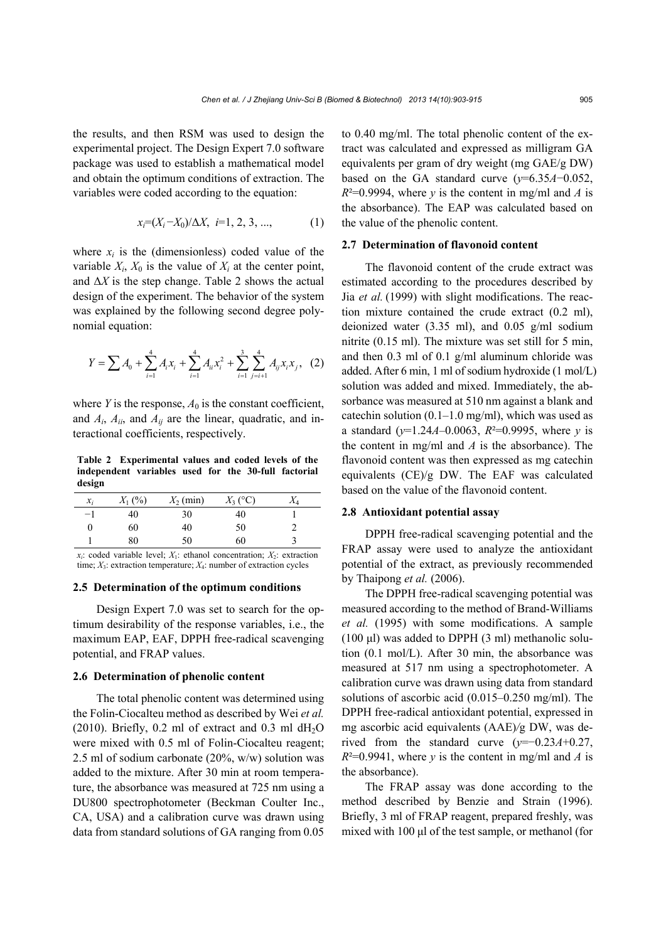the results, and then RSM was used to design the experimental project. The Design Expert 7.0 software package was used to establish a mathematical model and obtain the optimum conditions of extraction. The variables were coded according to the equation:

$$
x_i = (X_i - X_0) / \Delta X, \ i = 1, 2, 3, \dots,
$$
 (1)

where  $x_i$  is the (dimensionless) coded value of the variable  $X_i$ ,  $X_0$  is the value of  $X_i$  at the center point, and  $\Delta X$  is the step change. Table 2 shows the actual design of the experiment. The behavior of the system was explained by the following second degree polynomial equation:

$$
Y = \sum A_0 + \sum_{i=1}^{4} A_i x_i + \sum_{i=1}^{4} A_{ii} x_i^2 + \sum_{i=1}^{3} \sum_{j=i+1}^{4} A_{ij} x_i x_j, \quad (2)
$$

where *Y* is the response,  $A_0$  is the constant coefficient, and *Ai*, *Aii*, and *Aij* are the linear, quadratic, and interactional coefficients, respectively.

**Table 2 Experimental values and coded levels of the independent variables used for the 30-full factorial design**

| $\mathcal{X}_i$ | $X_1(%)$ | $X_2$ (min) | $X_3$ (°C) | $\Lambda_{4}$ |
|-----------------|----------|-------------|------------|---------------|
| $-1$            | 40       | 30          | 40         |               |
| $_{0}$          | 60       | 40          | 50         |               |
|                 | 80       | 50          | 60         |               |

 $x_i$ : coded variable level;  $X_1$ : ethanol concentration;  $X_2$ : extraction time;  $X_3$ : extraction temperature;  $X_4$ : number of extraction cycles

### **2.5 Determination of the optimum conditions**

Design Expert 7.0 was set to search for the optimum desirability of the response variables, i.e., the maximum EAP, EAF, DPPH free-radical scavenging potential, and FRAP values.

#### **2.6 Determination of phenolic content**

The total phenolic content was determined using the Folin-Ciocalteu method as described by Wei *et al.* (2010). Briefly,  $0.2$  ml of extract and  $0.3$  ml dH<sub>2</sub>O were mixed with 0.5 ml of Folin-Ciocalteu reagent; 2.5 ml of sodium carbonate (20%, w/w) solution was added to the mixture. After 30 min at room temperature, the absorbance was measured at 725 nm using a DU800 spectrophotometer (Beckman Coulter Inc., CA, USA) and a calibration curve was drawn using data from standard solutions of GA ranging from 0.05

to 0.40 mg/ml. The total phenolic content of the extract was calculated and expressed as milligram GA equivalents per gram of dry weight (mg GAE/g DW) based on the GA standard curve  $(y=6.35A-0.052)$ ,  $R^2=0.9994$ , where *y* is the content in mg/ml and *A* is the absorbance). The EAP was calculated based on the value of the phenolic content.

## **2.7 Determination of flavonoid content**

The flavonoid content of the crude extract was estimated according to the procedures described by Jia *et al.* (1999) with slight modifications. The reaction mixture contained the crude extract (0.2 ml), deionized water (3.35 ml), and 0.05 g/ml sodium nitrite (0.15 ml). The mixture was set still for 5 min, and then 0.3 ml of 0.1 g/ml aluminum chloride was added. After 6 min, 1 ml of sodium hydroxide (1 mol/L) solution was added and mixed. Immediately, the absorbance was measured at 510 nm against a blank and catechin solution  $(0.1-1.0 \text{ mg/ml})$ , which was used as a standard (*y*=1.24*A*–0.0063, *R*²=0.9995, where *y* is the content in mg/ml and *A* is the absorbance). The flavonoid content was then expressed as mg catechin equivalents (CE)/g DW. The EAF was calculated based on the value of the flavonoid content.

## **2.8 Antioxidant potential assay**

DPPH free-radical scavenging potential and the FRAP assay were used to analyze the antioxidant potential of the extract, as previously recommended by Thaipong *et al.* (2006).

The DPPH free-radical scavenging potential was measured according to the method of Brand-Williams *et al.* (1995) with some modifications. A sample  $(100 \mu l)$  was added to DPPH  $(3 \mu l)$  methanolic solution (0.1 mol/L). After 30 min, the absorbance was measured at 517 nm using a spectrophotometer. A calibration curve was drawn using data from standard solutions of ascorbic acid (0.015–0.250 mg/ml). The DPPH free-radical antioxidant potential, expressed in mg ascorbic acid equivalents (AAE)*/*g DW, was derived from the standard curve  $(y=-0.23A+0.27$ ,  $R^2=0.9941$ , where *y* is the content in mg/ml and *A* is the absorbance).

The FRAP assay was done according to the method described by Benzie and Strain (1996). Briefly, 3 ml of FRAP reagent, prepared freshly, was mixed with 100 μl of the test sample, or methanol (for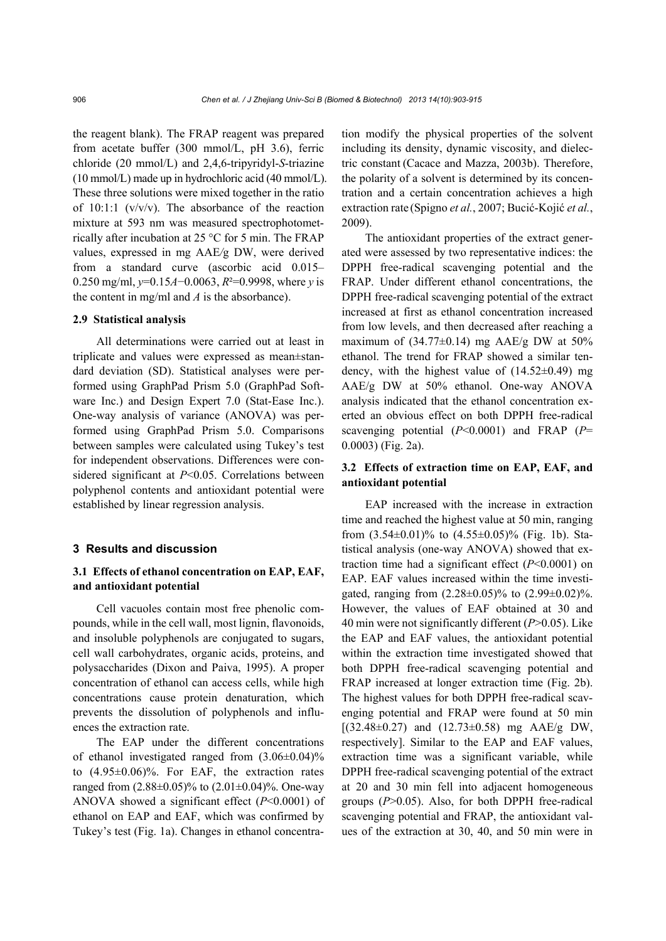the reagent blank). The FRAP reagent was prepared from acetate buffer (300 mmol/L, pH 3.6), ferric chloride (20 mmol/L) and 2,4,6-tripyridyl-*S*-triazine (10 mmol/L) made up in hydrochloric acid (40 mmol/L). These three solutions were mixed together in the ratio of  $10:1:1$  (v/v/v). The absorbance of the reaction mixture at 593 nm was measured spectrophotometrically after incubation at 25 °C for 5 min. The FRAP values, expressed in mg AAE*/*g DW, were derived from a standard curve (ascorbic acid 0.015– 0.250 mg/ml, *y*=0.15*A*−0.0063, *R*²=0.9998, where *y* is the content in mg/ml and *A* is the absorbance).

## **2.9 Statistical analysis**

All determinations were carried out at least in triplicate and values were expressed as mean±standard deviation (SD). Statistical analyses were performed using GraphPad Prism 5.0 (GraphPad Software Inc.) and Design Expert 7.0 (Stat-Ease Inc.). One-way analysis of variance (ANOVA) was performed using GraphPad Prism 5.0. Comparisons between samples were calculated using Tukey's test for independent observations. Differences were considered significant at *P*<0.05. Correlations between polyphenol contents and antioxidant potential were established by linear regression analysis.

## **3 Results and discussion**

# **3.1 Effects of ethanol concentration on EAP, EAF, and antioxidant potential**

Cell vacuoles contain most free phenolic compounds, while in the cell wall, most lignin, flavonoids, and insoluble polyphenols are conjugated to sugars, cell wall carbohydrates, organic acids, proteins, and polysaccharides (Dixon and Paiva, 1995). A proper concentration of ethanol can access cells, while high concentrations cause protein denaturation, which prevents the dissolution of polyphenols and influences the extraction rate.

The EAP under the different concentrations of ethanol investigated ranged from  $(3.06\pm0.04)\%$ to (4.95±0.06)%. For EAF, the extraction rates ranged from  $(2.88\pm0.05)\%$  to  $(2.01\pm0.04)\%$ . One-way ANOVA showed a significant effect (*P*<0.0001) of ethanol on EAP and EAF, which was confirmed by Tukey's test (Fig. 1a). Changes in ethanol concentration modify the physical properties of the solvent including its density, dynamic viscosity, and dielectric constant (Cacace and Mazza, 2003b). Therefore, the polarity of a solvent is determined by its concentration and a certain concentration achieves a high extraction rate (Spigno *et al.*, 2007; Bucić-Kojić *et al.*, 2009).

The antioxidant properties of the extract generated were assessed by two representative indices: the DPPH free-radical scavenging potential and the FRAP. Under different ethanol concentrations, the DPPH free-radical scavenging potential of the extract increased at first as ethanol concentration increased from low levels, and then decreased after reaching a maximum of  $(34.77\pm0.14)$  mg AAE/g DW at 50% ethanol. The trend for FRAP showed a similar tendency, with the highest value of  $(14.52\pm0.49)$  mg AAE/g DW at 50% ethanol. One-way ANOVA analysis indicated that the ethanol concentration exerted an obvious effect on both DPPH free-radical scavenging potential (*P*<0.0001) and FRAP (*P*= 0.0003) (Fig. 2a).

# **3.2 Effects of extraction time on EAP, EAF, and antioxidant potential**

EAP increased with the increase in extraction time and reached the highest value at 50 min, ranging from  $(3.54\pm0.01)\%$  to  $(4.55\pm0.05)\%$  (Fig. 1b). Statistical analysis (one-way ANOVA) showed that extraction time had a significant effect (*P*<0.0001) on EAP. EAF values increased within the time investigated, ranging from  $(2.28\pm0.05)\%$  to  $(2.99\pm0.02)\%$ . However, the values of EAF obtained at 30 and 40 min were not significantly different (*P*>0.05). Like the EAP and EAF values, the antioxidant potential within the extraction time investigated showed that both DPPH free-radical scavenging potential and FRAP increased at longer extraction time (Fig. 2b). The highest values for both DPPH free-radical scavenging potential and FRAP were found at 50 min  $[(32.48\pm0.27)$  and  $(12.73\pm0.58)$  mg AAE/g DW, respectively]. Similar to the EAP and EAF values, extraction time was a significant variable, while DPPH free-radical scavenging potential of the extract at 20 and 30 min fell into adjacent homogeneous groups (*P*>0.05). Also, for both DPPH free-radical scavenging potential and FRAP, the antioxidant values of the extraction at 30, 40, and 50 min were in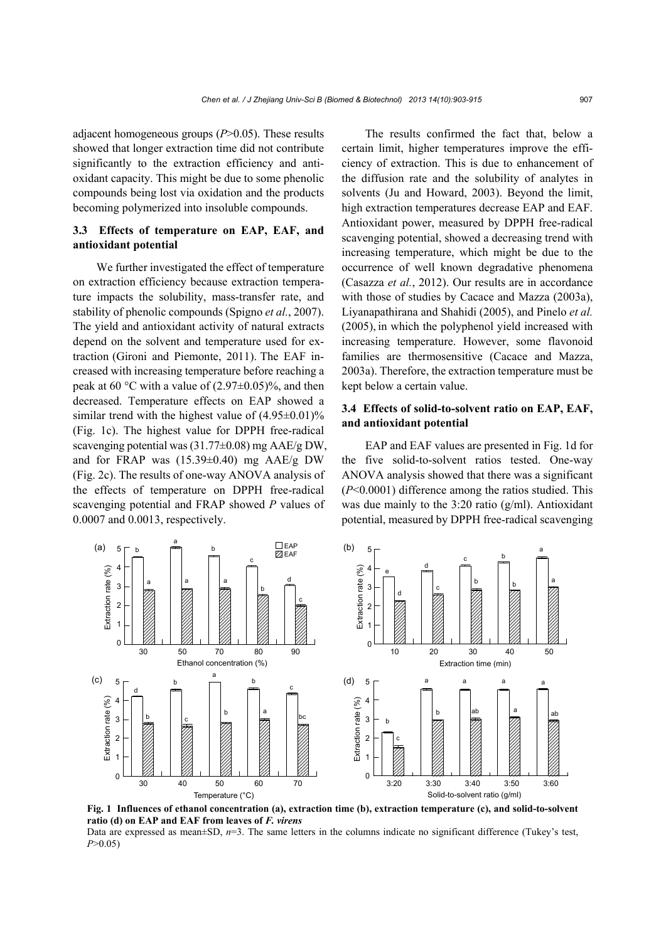adjacent homogeneous groups (*P*>0.05). These results showed that longer extraction time did not contribute significantly to the extraction efficiency and antioxidant capacity. This might be due to some phenolic compounds being lost via oxidation and the products becoming polymerized into insoluble compounds.

# **3.3 Effects of temperature on EAP, EAF, and antioxidant potential**

We further investigated the effect of temperature on extraction efficiency because extraction temperature impacts the solubility, mass-transfer rate, and stability of phenolic compounds (Spigno *et al.*, 2007). The yield and antioxidant activity of natural extracts depend on the solvent and temperature used for extraction (Gironi and Piemonte, 2011). The EAF increased with increasing temperature before reaching a peak at 60 °C with a value of  $(2.97\pm0.05)$ %, and then decreased. Temperature effects on EAP showed a similar trend with the highest value of  $(4.95\pm0.01)\%$ (Fig. 1c). The highest value for DPPH free-radical scavenging potential was (31.77±0.08) mg AAE/g DW, and for FRAP was  $(15.39\pm0.40)$  mg AAE/g DW (Fig. 2c). The results of one-way ANOVA analysis of the effects of temperature on DPPH free-radical scavenging potential and FRAP showed *P* values of 0.0007 and 0.0013, respectively.

The results confirmed the fact that, below a certain limit, higher temperatures improve the efficiency of extraction. This is due to enhancement of the diffusion rate and the solubility of analytes in solvents (Ju and Howard, 2003). Beyond the limit, high extraction temperatures decrease EAP and EAF. Antioxidant power, measured by DPPH free-radical scavenging potential, showed a decreasing trend with increasing temperature, which might be due to the occurrence of well known degradative phenomena (Casazza *et al.*, 2012). Our results are in accordance with those of studies by Cacace and Mazza (2003a), Liyanapathirana and Shahidi (2005), and Pinelo *et al.* (2005), in which the polyphenol yield increased with increasing temperature. However, some flavonoid families are thermosensitive (Cacace and Mazza, 2003a). Therefore, the extraction temperature must be kept below a certain value.

# **3.4 Effects of solid-to-solvent ratio on EAP, EAF, and antioxidant potential**

EAP and EAF values are presented in Fig. 1d for the five solid-to-solvent ratios tested. One-way ANOVA analysis showed that there was a significant (*P*<0.0001) difference among the ratios studied. This was due mainly to the 3:20 ratio (g/ml). Antioxidant potential, measured by DPPH free-radical scavenging



**Fig. 1 Influences of ethanol concentration (a), extraction time (b), extraction temperature (c), and solid-to-solvent ratio (d) on EAP and EAF from leaves of** *F. virens* 

Data are expressed as mean±SD,  $n=3$ . The same letters in the columns indicate no significant difference (Tukey's test, *P*>0.05)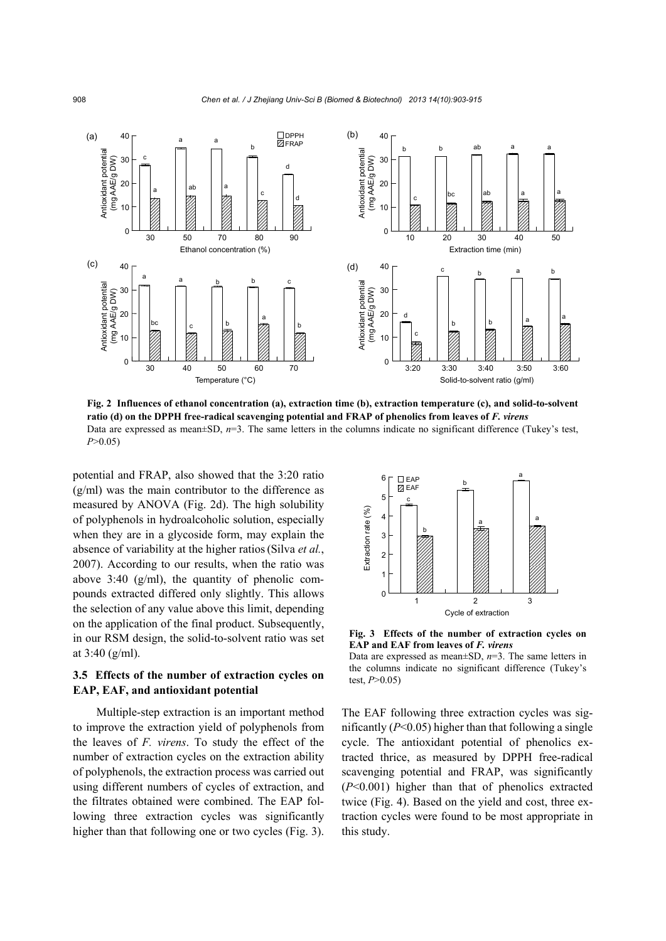

**Fig. 2 Influences of ethanol concentration (a), extraction time (b), extraction temperature (c), and solid-to-solvent ratio (d) on the DPPH free-radical scavenging potential and FRAP of phenolics from leaves of** *F. virens*  Data are expressed as mean±SD,  $n=3$ . The same letters in the columns indicate no significant difference (Tukey's test, *P*>0.05)

potential and FRAP, also showed that the 3:20 ratio (g/ml) was the main contributor to the difference as measured by ANOVA (Fig. 2d). The high solubility of polyphenols in hydroalcoholic solution, especially when they are in a glycoside form, may explain the absence of variability at the higher ratios(Silva *et al.*, 2007). According to our results, when the ratio was above  $3:40 \,$  (g/ml), the quantity of phenolic compounds extracted differed only slightly. This allows the selection of any value above this limit, depending on the application of the final product. Subsequently, in our RSM design, the solid-to-solvent ratio was set at 3:40 (g/ml).

# **3.5 Effects of the number of extraction cycles on EAP, EAF, and antioxidant potential**

Multiple-step extraction is an important method to improve the extraction yield of polyphenols from the leaves of *F. virens*. To study the effect of the number of extraction cycles on the extraction ability of polyphenols, the extraction process was carried out using different numbers of cycles of extraction, and the filtrates obtained were combined. The EAP following three extraction cycles was significantly higher than that following one or two cycles (Fig. 3).



**Fig. 3 Effects of the number of extraction cycles on EAP and EAF from leaves of** *F. virens*

Data are expressed as mean±SD, *n*=3. The same letters in the columns indicate no significant difference (Tukey's test, *P*>0.05)

The EAF following three extraction cycles was significantly (*P*<0.05) higher than that following a single cycle. The antioxidant potential of phenolics extracted thrice, as measured by DPPH free-radical scavenging potential and FRAP, was significantly (*P*<0.001) higher than that of phenolics extracted twice (Fig. 4). Based on the yield and cost, three extraction cycles were found to be most appropriate in this study.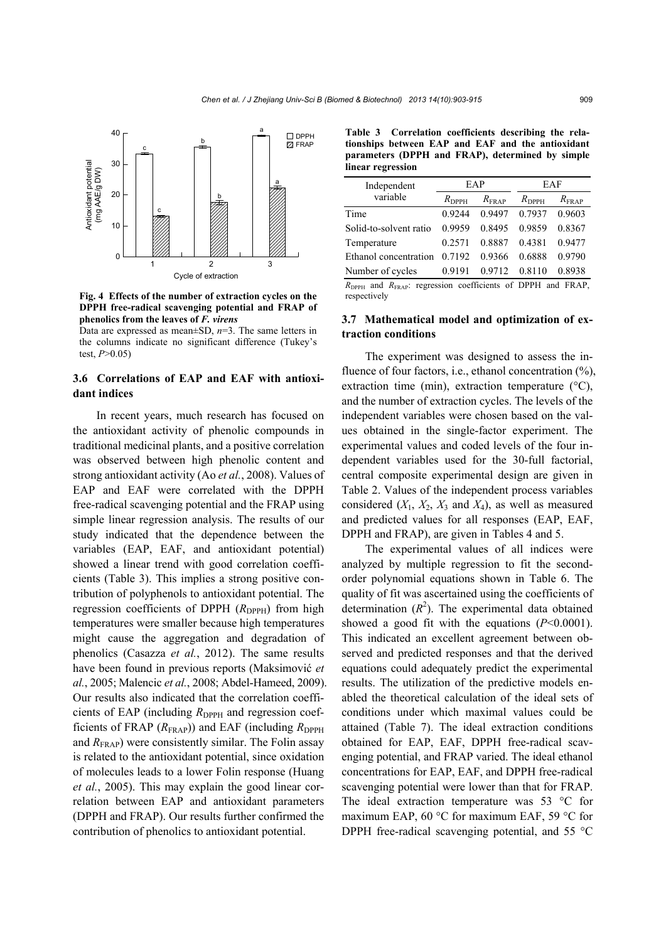

**Fig. 4 Effects of the number of extraction cycles on the DPPH free-radical scavenging potential and FRAP of phenolics from the leaves of** *F. virens*

Data are expressed as mean±SD, *n*=3. The same letters in the columns indicate no significant difference (Tukey's test, *P*>0.05)

# **3.6 Correlations of EAP and EAF with antioxidant indices**

In recent years, much research has focused on the antioxidant activity of phenolic compounds in traditional medicinal plants, and a positive correlation was observed between high phenolic content and strong antioxidant activity (Ao *et al.*, 2008). Values of EAP and EAF were correlated with the DPPH free-radical scavenging potential and the FRAP using simple linear regression analysis. The results of our study indicated that the dependence between the variables (EAP, EAF, and antioxidant potential) showed a linear trend with good correlation coefficients (Table 3). This implies a strong positive contribution of polyphenols to antioxidant potential. The regression coefficients of DPPH  $(R_{\text{DPPH}})$  from high temperatures were smaller because high temperatures might cause the aggregation and degradation of phenolics (Casazza *et al.*, 2012). The same results have been found in previous reports (Maksimović *et al.*, 2005; Malencic *et al.*, 2008; Abdel-Hameed, 2009). Our results also indicated that the correlation coefficients of EAP (including  $R_{\text{DPPH}}$  and regression coefficients of FRAP  $(R_{\text{FRAP}})$ ) and EAF (including  $R_{\text{DPPH}}$ and  $R_{\text{FRAP}}$ ) were consistently similar. The Folin assay is related to the antioxidant potential, since oxidation of molecules leads to a lower Folin response (Huang *et al.*, 2005). This may explain the good linear correlation between EAP and antioxidant parameters (DPPH and FRAP). Our results further confirmed the contribution of phenolics to antioxidant potential.

**Table 3 Correlation coefficients describing the relationships between EAP and EAF and the antioxidant parameters (DPPH and FRAP), determined by simple linear regression**

| Independent            |                | EAP            | EAF               |                   |
|------------------------|----------------|----------------|-------------------|-------------------|
| variable               | $R_{\rm DPPH}$ | $R_{\rm FRAP}$ | $R_{\text{DPPH}}$ | $R_{\text{FRAP}}$ |
| Time                   | 0.9244         | 0.9497         | 0.7937            | 0.9603            |
| Solid-to-solvent ratio | 0.9959         | 0.8495         | 0.9859            | 0.8367            |
| Temperature            | 0.2571         | 0.8887         | 0.4381            | 0.9477            |
| Ethanol concentration  | 0.7192         | 0.9366         | 0.6888            | 0.9790            |
| Number of cycles       | 0.9191         | 0.9712         | 0.8110            | 0.8938            |
|                        |                |                |                   |                   |

*R*DPPH and *R*FRAP: regression coefficients of DPPH and FRAP, respectively

## **3.7 Mathematical model and optimization of extraction conditions**

The experiment was designed to assess the influence of four factors, i.e., ethanol concentration  $(\%)$ , extraction time (min), extraction temperature  $(^{\circ}C)$ , and the number of extraction cycles. The levels of the independent variables were chosen based on the values obtained in the single-factor experiment. The experimental values and coded levels of the four independent variables used for the 30-full factorial, central composite experimental design are given in Table 2. Values of the independent process variables considered  $(X_1, X_2, X_3$  and  $X_4$ ), as well as measured and predicted values for all responses (EAP, EAF, DPPH and FRAP), are given in Tables 4 and 5.

The experimental values of all indices were analyzed by multiple regression to fit the secondorder polynomial equations shown in Table 6. The quality of fit was ascertained using the coefficients of determination  $(R^2)$ . The experimental data obtained showed a good fit with the equations  $(P<0.0001)$ . This indicated an excellent agreement between observed and predicted responses and that the derived equations could adequately predict the experimental results. The utilization of the predictive models enabled the theoretical calculation of the ideal sets of conditions under which maximal values could be attained (Table 7). The ideal extraction conditions obtained for EAP, EAF, DPPH free-radical scavenging potential, and FRAP varied. The ideal ethanol concentrations for EAP, EAF, and DPPH free-radical scavenging potential were lower than that for FRAP. The ideal extraction temperature was 53 °C for maximum EAP, 60 °C for maximum EAF, 59 °C for DPPH free-radical scavenging potential, and 55 °C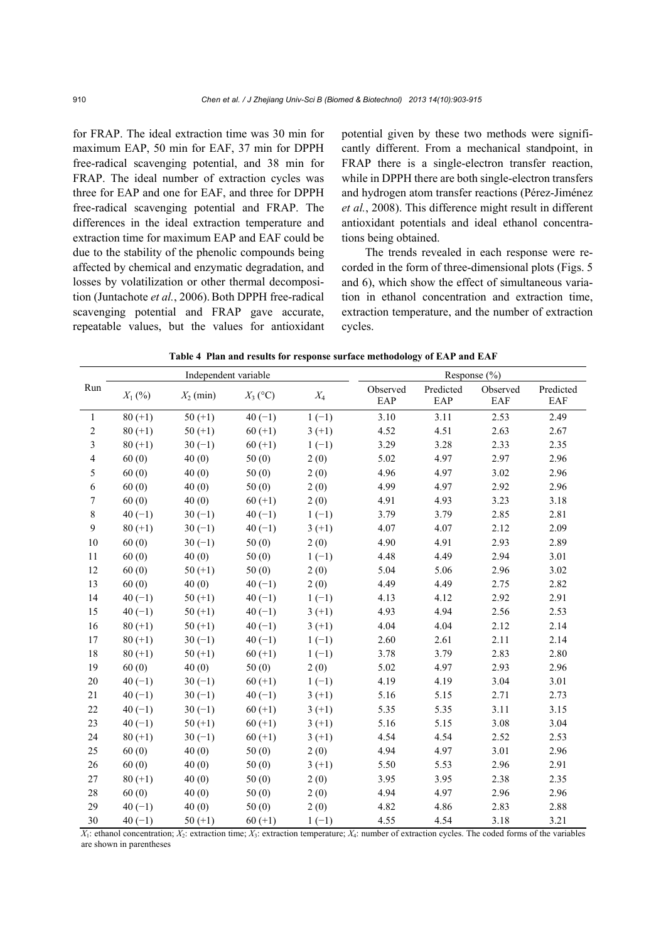for FRAP. The ideal extraction time was 30 min for maximum EAP, 50 min for EAF, 37 min for DPPH free-radical scavenging potential, and 38 min for FRAP. The ideal number of extraction cycles was three for EAP and one for EAF, and three for DPPH free-radical scavenging potential and FRAP. The differences in the ideal extraction temperature and extraction time for maximum EAP and EAF could be due to the stability of the phenolic compounds being affected by chemical and enzymatic degradation, and losses by volatilization or other thermal decomposition (Juntachote *et al.*, 2006). Both DPPH free-radical scavenging potential and FRAP gave accurate, repeatable values, but the values for antioxidant potential given by these two methods were significantly different. From a mechanical standpoint, in FRAP there is a single-electron transfer reaction, while in DPPH there are both single-electron transfers and hydrogen atom transfer reactions (Pérez-Jiménez *et al.*, 2008). This difference might result in different antioxidant potentials and ideal ethanol concentrations being obtained.

The trends revealed in each response were recorded in the form of three-dimensional plots (Figs. 5 and 6), which show the effect of simultaneous variation in ethanol concentration and extraction time, extraction temperature, and the number of extraction cycles.

**Table 4 Plan and results for response surface methodology of EAP and EAF**

|                | Independent variable |             |            |          | Response $(\% )$ |                  |                 |                  |
|----------------|----------------------|-------------|------------|----------|------------------|------------------|-----------------|------------------|
| Run            | $X_1$ (%)            | $X_2$ (min) | $X_3$ (°C) | $X_4$    | Observed<br>EAP  | Predicted<br>EAP | Observed<br>EAF | Predicted<br>EAF |
| 1              | $80 (+1)$            | $50 (+1)$   | $40(-1)$   | $1(-1)$  | 3.10             | 3.11             | 2.53            | 2.49             |
| $\overline{c}$ | $80 (+1)$            | $50 (+1)$   | $60 (+1)$  | $3(+1)$  | 4.52             | 4.51             | 2.63            | 2.67             |
| 3              | $80 (+1)$            | $30(-1)$    | $60 (+1)$  | $1(-1)$  | 3.29             | 3.28             | 2.33            | 2.35             |
| $\overline{4}$ | 60(0)                | 40(0)       | 50(0)      | 2(0)     | 5.02             | 4.97             | 2.97            | 2.96             |
| 5              | 60(0)                | 40(0)       | 50(0)      | 2(0)     | 4.96             | 4.97             | 3.02            | 2.96             |
| 6              | 60(0)                | 40(0)       | 50(0)      | 2(0)     | 4.99             | 4.97             | 2.92            | 2.96             |
| $\tau$         | 60(0)                | 40(0)       | $60 (+1)$  | 2(0)     | 4.91             | 4.93             | 3.23            | 3.18             |
| 8              | $40(-1)$             | $30(-1)$    | $40(-1)$   | $1(-1)$  | 3.79             | 3.79             | 2.85            | 2.81             |
| 9              | $80 (+1)$            | $30(-1)$    | $40(-1)$   | $3(+1)$  | 4.07             | 4.07             | 2.12            | 2.09             |
| 10             | 60(0)                | $30(-1)$    | 50(0)      | 2(0)     | 4.90             | 4.91             | 2.93            | 2.89             |
| 11             | 60(0)                | 40(0)       | 50(0)      | $1(-1)$  | 4.48             | 4.49             | 2.94            | 3.01             |
| 12             | 60(0)                | $50 (+1)$   | 50(0)      | 2(0)     | 5.04             | 5.06             | 2.96            | 3.02             |
| 13             | 60(0)                | 40(0)       | $40(-1)$   | 2(0)     | 4.49             | 4.49             | 2.75            | 2.82             |
| 14             | $40(-1)$             | $50 (+1)$   | $40(-1)$   | $1(-1)$  | 4.13             | 4.12             | 2.92            | 2.91             |
| 15             | $40(-1)$             | $50 (+1)$   | $40(-1)$   | $3(+1)$  | 4.93             | 4.94             | 2.56            | 2.53             |
| 16             | $80 (+1)$            | $50 (+1)$   | $40(-1)$   | $3(+1)$  | 4.04             | 4.04             | 2.12            | 2.14             |
| 17             | $80 (+1)$            | $30(-1)$    | $40(-1)$   | $1(-1)$  | 2.60             | 2.61             | 2.11            | 2.14             |
| 18             | $80 (+1)$            | $50 (+1)$   | $60 (+1)$  | $1(-1)$  | 3.78             | 3.79             | 2.83            | 2.80             |
| 19             | 60(0)                | 40(0)       | 50(0)      | 2(0)     | 5.02             | 4.97             | 2.93            | 2.96             |
| 20             | $40(-1)$             | $30(-1)$    | $60 (+1)$  | $1(-1)$  | 4.19             | 4.19             | 3.04            | 3.01             |
| 21             | $40(-1)$             | $30(-1)$    | $40(-1)$   | $3 (+1)$ | 5.16             | 5.15             | 2.71            | 2.73             |
| 22             | $40(-1)$             | $30(-1)$    | $60 (+1)$  | $3 (+1)$ | 5.35             | 5.35             | 3.11            | 3.15             |
| 23             | $40(-1)$             | $50 (+1)$   | $60 (+1)$  | $3 (+1)$ | 5.16             | 5.15             | 3.08            | 3.04             |
| 24             | $80 (+1)$            | $30(-1)$    | $60 (+1)$  | $3(+1)$  | 4.54             | 4.54             | 2.52            | 2.53             |
| 25             | 60(0)                | 40(0)       | 50(0)      | 2(0)     | 4.94             | 4.97             | 3.01            | 2.96             |
| 26             | 60(0)                | 40(0)       | 50(0)      | $3(+1)$  | 5.50             | 5.53             | 2.96            | 2.91             |
| 27             | $80 (+1)$            | 40(0)       | 50(0)      | 2(0)     | 3.95             | 3.95             | 2.38            | 2.35             |
| 28             | 60(0)                | 40(0)       | 50(0)      | 2(0)     | 4.94             | 4.97             | 2.96            | 2.96             |
| 29             | $40(-1)$             | 40(0)       | 50(0)      | 2(0)     | 4.82             | 4.86             | 2.83            | 2.88             |
| 30             | $40(-1)$             | $50 (+1)$   | $60 (+1)$  | $1(-1)$  | 4.55             | 4.54             | 3.18            | 3.21             |

 $X_1$ : ethanol concentration;  $X_2$ : extraction time;  $X_3$ : extraction temperature;  $X_4$ : number of extraction cycles. The coded forms of the variables are shown in parentheses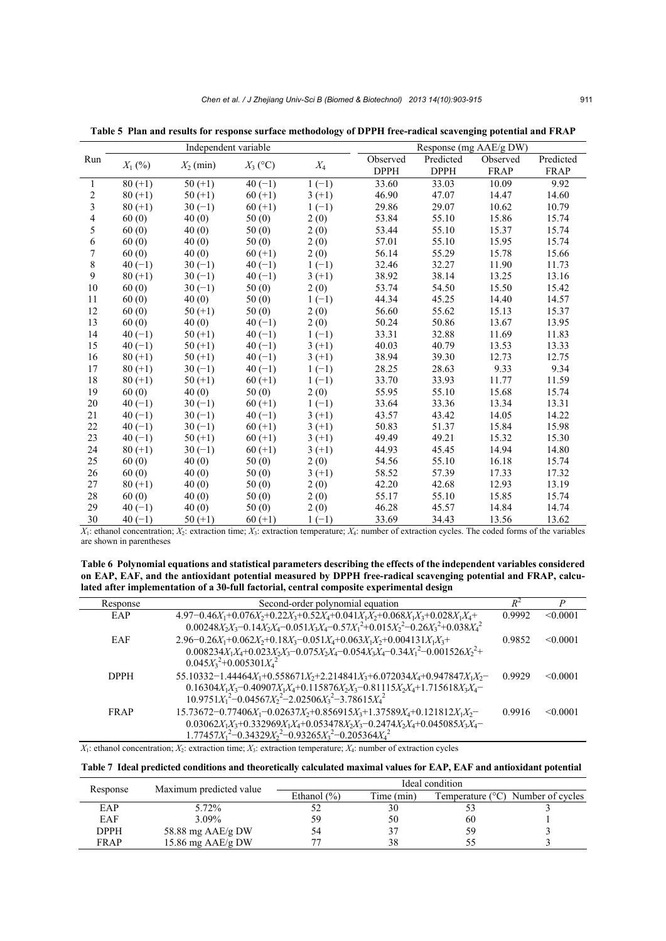|                         |                    | Independent variable |            |          | Response (mg AAE/g DW) |             |          |             |
|-------------------------|--------------------|----------------------|------------|----------|------------------------|-------------|----------|-------------|
| Run                     | $X_1$ (%)          | $X_2$ (min)          | $X_3$ (°C) | $X_4$    | Observed               | Predicted   | Observed | Predicted   |
|                         |                    |                      |            |          | <b>DPPH</b>            | <b>DPPH</b> | FRAP     | <b>FRAP</b> |
| 1                       | $\frac{1}{80}(+1)$ | $50 (+1)$            | $40(-1)$   | $1(-1)$  | 33.60                  | 33.03       | 10.09    | 9.92        |
| $\overline{\mathbf{c}}$ | $80 (+1)$          | $50 (+1)$            | $60 (+1)$  | $3(+1)$  | 46.90                  | 47.07       | 14.47    | 14.60       |
| $\overline{3}$          | $80 (+1)$          | $30(-1)$             | $60 (+1)$  | $1(-1)$  | 29.86                  | 29.07       | 10.62    | 10.79       |
| $\overline{\mathbf{4}}$ | 60(0)              | 40(0)                | 50(0)      | 2(0)     | 53.84                  | 55.10       | 15.86    | 15.74       |
| 5                       | 60(0)              | 40(0)                | 50(0)      | 2(0)     | 53.44                  | 55.10       | 15.37    | 15.74       |
| 6                       | 60(0)              | 40(0)                | 50(0)      | 2(0)     | 57.01                  | 55.10       | 15.95    | 15.74       |
| $\overline{7}$          | 60(0)              | 40(0)                | $60 (+1)$  | 2(0)     | 56.14                  | 55.29       | 15.78    | 15.66       |
| 8                       | $40(-1)$           | $30(-1)$             | $40(-1)$   | $1(-1)$  | 32.46                  | 32.27       | 11.90    | 11.73       |
| 9                       | $80 (+1)$          | $30(-1)$             | $40(-1)$   | $3(+1)$  | 38.92                  | 38.14       | 13.25    | 13.16       |
| 10                      | 60(0)              | $30(-1)$             | 50(0)      | 2(0)     | 53.74                  | 54.50       | 15.50    | 15.42       |
| 11                      | 60(0)              | 40(0)                | 50(0)      | $1(-1)$  | 44.34                  | 45.25       | 14.40    | 14.57       |
| 12                      | 60(0)              | $50 (+1)$            | 50(0)      | 2(0)     | 56.60                  | 55.62       | 15.13    | 15.37       |
| 13                      | 60(0)              | 40(0)                | $40(-1)$   | 2(0)     | 50.24                  | 50.86       | 13.67    | 13.95       |
| 14                      | $40(-1)$           | $50 (+1)$            | $40(-1)$   | $1(-1)$  | 33.31                  | 32.88       | 11.69    | 11.83       |
| 15                      | $40(-1)$           | $50 (+1)$            | $40(-1)$   | $3(+1)$  | 40.03                  | 40.79       | 13.53    | 13.33       |
| 16                      | $80 (+1)$          | $50 (+1)$            | $40(-1)$   | $3(+1)$  | 38.94                  | 39.30       | 12.73    | 12.75       |
| 17                      | $80 (+1)$          | $30(-1)$             | $40(-1)$   | $1(-1)$  | 28.25                  | 28.63       | 9.33     | 9.34        |
| 18                      | $80 (+1)$          | $50 (+1)$            | $60 (+1)$  | $1(-1)$  | 33.70                  | 33.93       | 11.77    | 11.59       |
| 19                      | 60(0)              | 40(0)                | 50(0)      | 2(0)     | 55.95                  | 55.10       | 15.68    | 15.74       |
| 20                      | $40(-1)$           | $30(-1)$             | $60 (+1)$  | $1(-1)$  | 33.64                  | 33.36       | 13.34    | 13.31       |
| 21                      | $40(-1)$           | $30(-1)$             | $40(-1)$   | $3(+1)$  | 43.57                  | 43.42       | 14.05    | 14.22       |
| 22                      | $40(-1)$           | $30(-1)$             | $60 (+1)$  | $3(+1)$  | 50.83                  | 51.37       | 15.84    | 15.98       |
| 23                      | $40(-1)$           | $50 (+1)$            | $60 (+1)$  | $3 (+1)$ | 49.49                  | 49.21       | 15.32    | 15.30       |
| 24                      | $80 (+1)$          | $30(-1)$             | $60 (+1)$  | $3(+1)$  | 44.93                  | 45.45       | 14.94    | 14.80       |
| 25                      | 60(0)              | 40(0)                | 50(0)      | 2(0)     | 54.56                  | 55.10       | 16.18    | 15.74       |
| 26                      | 60(0)              | 40(0)                | 50(0)      | $3(+1)$  | 58.52                  | 57.39       | 17.33    | 17.32       |
| 27                      | $80 (+1)$          | 40(0)                | 50(0)      | 2(0)     | 42.20                  | 42.68       | 12.93    | 13.19       |
| 28                      | 60(0)              | 40(0)                | 50(0)      | 2(0)     | 55.17                  | 55.10       | 15.85    | 15.74       |
| 29                      | $40(-1)$           | 40(0)                | 50(0)      | 2(0)     | 46.28                  | 45.57       | 14.84    | 14.74       |
| 30                      | $40(-1)$           | $50 (+1)$            | $60 (+1)$  | $1(-1)$  | 33.69                  | 34.43       | 13.56    | 13.62       |

**Table 5 Plan and results for response surface methodology of DPPH free-radical scavenging potential and FRAP**

 $X_1$ : ethanol concentration;  $X_2$ : extraction time;  $X_3$ : extraction temperature;  $X_4$ : number of extraction cycles. The coded forms of the variables are shown in parentheses

**Table 6 Polynomial equations and statistical parameters describing the effects of the independent variables considered on EAP, EAF, and the antioxidant potential measured by DPPH free-radical scavenging potential and FRAP, calculated after implementation of a 30-full factorial, central composite experimental design**

| Response    | Second-order polynomial equation                                                                                                                                                                                                           | $R^2$  | P             |
|-------------|--------------------------------------------------------------------------------------------------------------------------------------------------------------------------------------------------------------------------------------------|--------|---------------|
| EAP         | $4.97 - 0.46X_1 + 0.076X_2 + 0.22X_3 + 0.52X_4 + 0.041X_1X_2 + 0.068X_1X_3 + 0.028X_1X_4 +$<br>$0.00248X_2X_3 - 0.14X_2X_4 - 0.051X_3X_4 - 0.57X_1^2 + 0.015X_2^2 - 0.26X_3^2 + 0.038X_4^2$                                                | 0.9992 | < 0.0001      |
| EAF         | $2.96 - 0.26X_1 + 0.062X_2 + 0.18X_3 - 0.051X_4 + 0.063X_1X_2 + 0.004131X_1X_3 +$<br>$0.008234X_1X_4+0.023X_2X_3-0.075X_2X_4-0.054X_3X_4-0.34X_1^2-0.001526X_2^2+$<br>$0.045X_3^2+0.005301X_4^2$                                           | 0.9852 | $\leq 0.0001$ |
| <b>DPPH</b> | $55.10332 - 1.44464X_1 + 0.558671X_2 + 2.214841X_3 + 6.072034X_4 + 0.947847X_1X_2 -$<br>$0.16304X_1X_3 - 0.40907X_1X_4 + 0.115876X_2X_3 - 0.81115X_2X_4 + 1.715618X_3X_4 -$<br>$10.9751X_1^2 - 0.04567X_2^2 - 2.02506X_3^2 - 3.78615X_4^2$ | 0.9929 | $\leq 0.0001$ |
| <b>FRAP</b> | $15.73672 - 0.77406X_1 - 0.02637X_2 + 0.856915X_3 + 1.37589X_4 + 0.121812X_1X_2$<br>$0.03062X_1X_3+0.332969X_1X_4+0.053478X_2X_3-0.2474X_2X_4+0.045085X_3X_4-$<br>$1.77457X_1^2 - 0.34329X_2^2 - 0.93265X_3^2 - 0.205364X_4^2$             | 0.9916 | $\leq 0.0001$ |

*X*1: ethanol concentration; *X*2: extraction time; *X*3: extraction temperature; *X*4: number of extraction cycles

#### **Table 7 Ideal predicted conditions and theoretically calculated maximal values for EAP, EAF and antioxidant potential**

| Response    | Maximum predicted value | Ideal condition |            |    |                                            |  |  |
|-------------|-------------------------|-----------------|------------|----|--------------------------------------------|--|--|
|             |                         | Ethanol $(\% )$ | Time (min) |    | Temperature $(^{\circ}C)$ Number of cycles |  |  |
| EAP         | 5.72%                   |                 | 30         |    |                                            |  |  |
| EAF         | 3.09%                   |                 | 50         | 60 |                                            |  |  |
| DPPH        | 58.88 mg $AAE/gDW$      |                 | 37         | 59 |                                            |  |  |
| <b>FRAP</b> | 15.86 mg $AAE/g$ DW     |                 | 38         |    |                                            |  |  |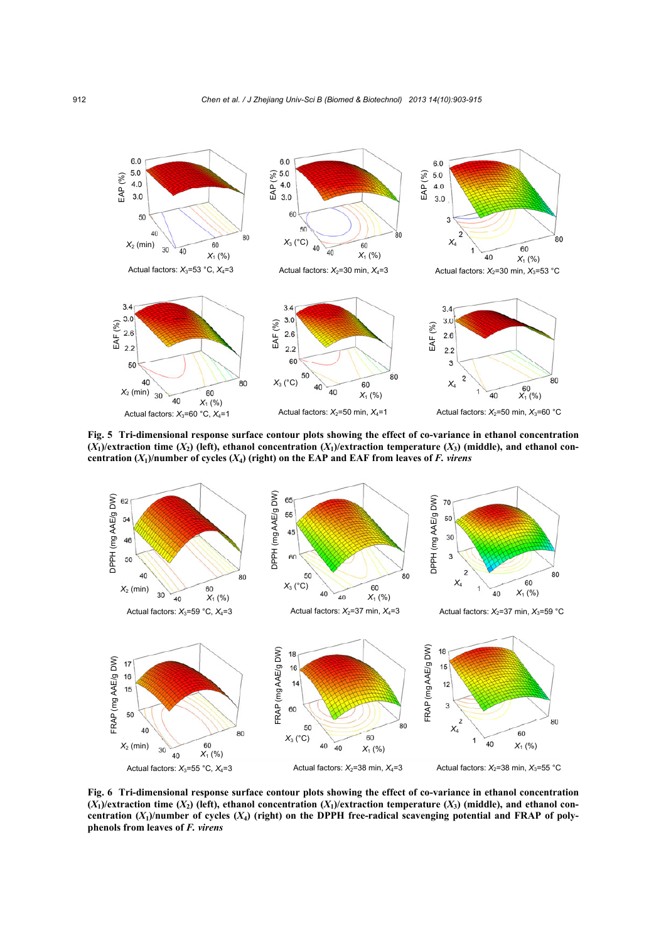

**Fig. 5 Tri-dimensional response surface contour plots showing the effect of co-variance in ethanol concentration**   $(X_1)$ /extraction time  $(X_2)$  (left), ethanol concentration  $(X_1)$ /extraction temperature  $(X_3)$  (middle), and ethanol con**centration (***X***1)/number of cycles (***X***4) (right) on the EAP and EAF from leaves of** *F. virens*



**Fig. 6 Tri-dimensional response surface contour plots showing the effect of co-variance in ethanol concentration**   $(X_1)$ /extraction time  $(X_2)$  (left), ethanol concentration  $(X_1)$ /extraction temperature  $(X_3)$  (middle), and ethanol concentration  $(X_1)$ /number of cycles  $(X_4)$  (right) on the DPPH free-radical scavenging potential and FRAP of poly**phenols from leaves of** *F. virens*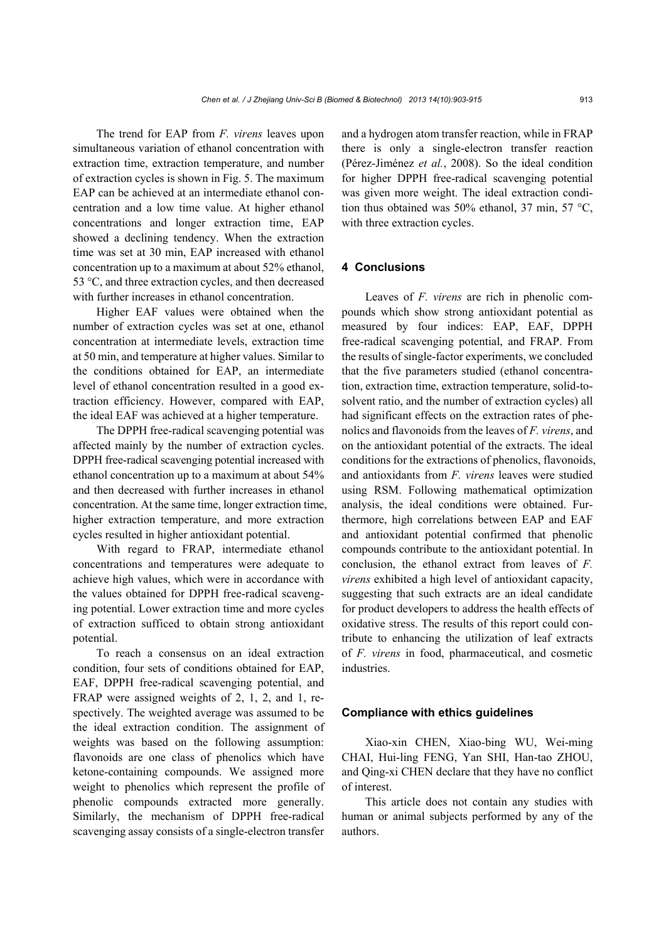The trend for EAP from *F. virens* leaves upon simultaneous variation of ethanol concentration with extraction time, extraction temperature, and number of extraction cycles is shown in Fig. 5. The maximum EAP can be achieved at an intermediate ethanol concentration and a low time value. At higher ethanol concentrations and longer extraction time, EAP showed a declining tendency. When the extraction time was set at 30 min, EAP increased with ethanol concentration up to a maximum at about 52% ethanol, 53 °C, and three extraction cycles, and then decreased with further increases in ethanol concentration.

Higher EAF values were obtained when the number of extraction cycles was set at one, ethanol concentration at intermediate levels, extraction time at 50 min, and temperature at higher values. Similar to the conditions obtained for EAP, an intermediate level of ethanol concentration resulted in a good extraction efficiency. However, compared with EAP, the ideal EAF was achieved at a higher temperature.

The DPPH free-radical scavenging potential was affected mainly by the number of extraction cycles. DPPH free-radical scavenging potential increased with ethanol concentration up to a maximum at about 54% and then decreased with further increases in ethanol concentration. At the same time, longer extraction time, higher extraction temperature, and more extraction cycles resulted in higher antioxidant potential.

With regard to FRAP, intermediate ethanol concentrations and temperatures were adequate to achieve high values, which were in accordance with the values obtained for DPPH free-radical scavenging potential. Lower extraction time and more cycles of extraction sufficed to obtain strong antioxidant potential.

To reach a consensus on an ideal extraction condition, four sets of conditions obtained for EAP, EAF, DPPH free-radical scavenging potential, and FRAP were assigned weights of 2, 1, 2, and 1, respectively. The weighted average was assumed to be the ideal extraction condition. The assignment of weights was based on the following assumption: flavonoids are one class of phenolics which have ketone-containing compounds. We assigned more weight to phenolics which represent the profile of phenolic compounds extracted more generally. Similarly, the mechanism of DPPH free-radical scavenging assay consists of a single-electron transfer and a hydrogen atom transfer reaction, while in FRAP there is only a single-electron transfer reaction (Pérez-Jiménez *et al.*, 2008). So the ideal condition for higher DPPH free-radical scavenging potential was given more weight. The ideal extraction condition thus obtained was 50% ethanol, 37 min, 57 °C, with three extraction cycles.

## **4 Conclusions**

Leaves of *F. virens* are rich in phenolic compounds which show strong antioxidant potential as measured by four indices: EAP, EAF, DPPH free-radical scavenging potential, and FRAP. From the results of single-factor experiments, we concluded that the five parameters studied (ethanol concentration, extraction time, extraction temperature, solid-tosolvent ratio, and the number of extraction cycles) all had significant effects on the extraction rates of phenolics and flavonoids from the leaves of *F. virens*, and on the antioxidant potential of the extracts. The ideal conditions for the extractions of phenolics, flavonoids, and antioxidants from *F. virens* leaves were studied using RSM. Following mathematical optimization analysis, the ideal conditions were obtained. Furthermore, high correlations between EAP and EAF and antioxidant potential confirmed that phenolic compounds contribute to the antioxidant potential. In conclusion, the ethanol extract from leaves of *F. virens* exhibited a high level of antioxidant capacity, suggesting that such extracts are an ideal candidate for product developers to address the health effects of oxidative stress. The results of this report could contribute to enhancing the utilization of leaf extracts of *F. virens* in food, pharmaceutical, and cosmetic industries.

## **Compliance with ethics guidelines**

Xiao-xin CHEN, Xiao-bing WU, Wei-ming CHAI, Hui-ling FENG, Yan SHI, Han-tao ZHOU, and Qing-xi CHEN declare that they have no conflict of interest.

This article does not contain any studies with human or animal subjects performed by any of the authors.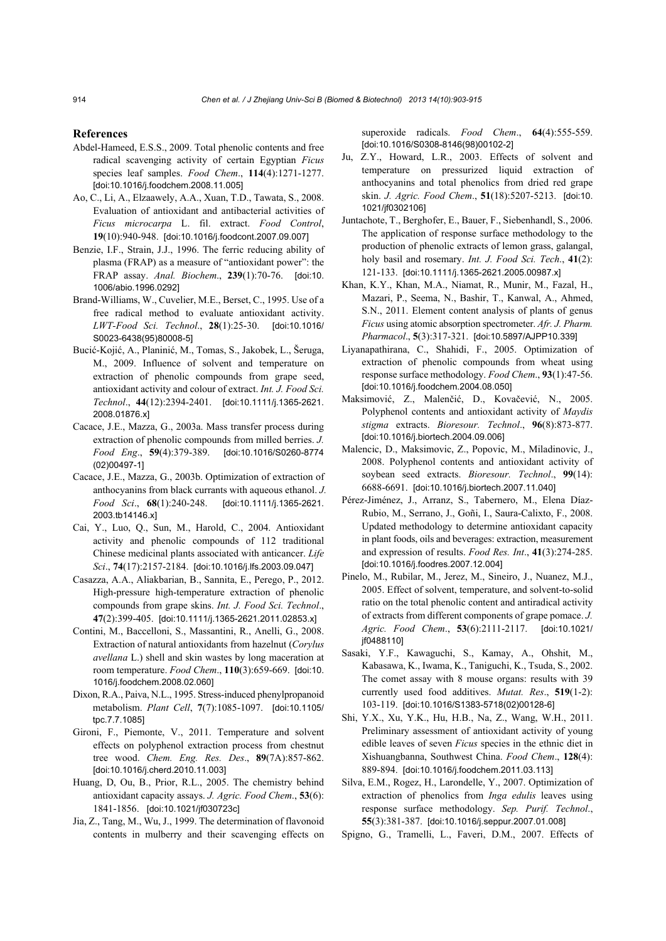#### **References**

- Abdel-Hameed, E.S.S., 2009. Total phenolic contents and free radical scavenging activity of certain Egyptian *Ficus* species leaf samples. *Food Chem*., **114**(4):1271-1277. [doi:10.1016/j.foodchem.2008.11.005]
- Ao, C., Li, A., Elzaawely, A.A., Xuan, T.D., Tawata, S., 2008. Evaluation of antioxidant and antibacterial activities of *Ficus microcarpa* L. fil. extract. *Food Control*, **19**(10):940-948. [doi:10.1016/j.foodcont.2007.09.007]
- Benzie, I.F., Strain, J.J., 1996. The ferric reducing ability of plasma (FRAP) as a measure of "antioxidant power": the FRAP assay. *Anal. Biochem*., **239**(1):70-76. [doi:10. 1006/abio.1996.0292]
- Brand-Williams, W., Cuvelier, M.E., Berset, C., 1995. Use of a free radical method to evaluate antioxidant activity. *LWT-Food Sci. Technol*., **28**(1):25-30. [doi:10.1016/ S0023-6438(95)80008-5]
- Bucić-Kojić, A., Planinić, M., Tomas, S., Jakobek, L., Šeruga, M., 2009. Influence of solvent and temperature on extraction of phenolic compounds from grape seed, antioxidant activity and colour of extract. *Int. J. Food Sci. Technol*., **44**(12):2394-2401. [doi:10.1111/j.1365-2621. 2008.01876.x]
- Cacace, J.E., Mazza, G., 2003a. Mass transfer process during extraction of phenolic compounds from milled berries. *J. Food Eng*., **59**(4):379-389. [doi:10.1016/S0260-8774 (02)00497-1]
- Cacace, J.E., Mazza, G., 2003b. Optimization of extraction of anthocyanins from black currants with aqueous ethanol. *J. Food Sci*., **68**(1):240-248. [doi:10.1111/j.1365-2621. 2003.tb14146.x]
- Cai, Y., Luo, Q., Sun, M., Harold, C., 2004. Antioxidant activity and phenolic compounds of 112 traditional Chinese medicinal plants associated with anticancer. *Life Sci*., **74**(17):2157-2184. [doi:10.1016/j.lfs.2003.09.047]
- Casazza, A.A., Aliakbarian, B., Sannita, E., Perego, P., 2012. High-pressure high-temperature extraction of phenolic compounds from grape skins. *Int. J. Food Sci. Technol*., **47**(2):399-405. [doi:10.1111/j.1365-2621.2011.02853.x]
- Contini, M., Baccelloni, S., Massantini, R., Anelli, G., 2008. Extraction of natural antioxidants from hazelnut (*Corylus avellana* L.) shell and skin wastes by long maceration at room temperature. *Food Chem*., **110**(3):659-669. [doi:10. 1016/j.foodchem.2008.02.060]
- Dixon, R.A., Paiva, N.L., 1995. Stress-induced phenylpropanoid metabolism. *Plant Cell*, **7**(7):1085-1097. [doi:10.1105/ tpc.7.7.1085]
- Gironi, F., Piemonte, V., 2011. Temperature and solvent effects on polyphenol extraction process from chestnut tree wood. *Chem. Eng. Res. Des*., **89**(7A):857-862. [doi:10.1016/j.cherd.2010.11.003]
- Huang, D, Ou, B., Prior, R.L., 2005. The chemistry behind antioxidant capacity assays. *J. Agric. Food Chem*., **53**(6): 1841-1856. [doi:10.1021/jf030723c]
- Jia, Z., Tang, M., Wu, J., 1999. The determination of flavonoid contents in mulberry and their scavenging effects on

superoxide radicals. *Food Chem*., **64**(4):555-559. [doi:10.1016/S0308-8146(98)00102-2]

- Ju, Z.Y., Howard, L.R., 2003. Effects of solvent and temperature on pressurized liquid extraction of anthocyanins and total phenolics from dried red grape skin. *J. Agric. Food Chem*., **51**(18):5207-5213. [doi:10. 1021/jf0302106]
- Juntachote, T., Berghofer, E., Bauer, F., Siebenhandl, S., 2006. The application of response surface methodology to the production of phenolic extracts of lemon grass, galangal, holy basil and rosemary. *Int. J. Food Sci. Tech*., **41**(2): 121-133. [doi:10.1111/j.1365-2621.2005.00987.x]
- Khan, K.Y., Khan, M.A., Niamat, R., Munir, M., Fazal, H., Mazari, P., Seema, N., Bashir, T., Kanwal, A., Ahmed, S.N., 2011. Element content analysis of plants of genus *Ficus* using atomic absorption spectrometer. *Afr. J. Pharm. Pharmacol*., **5**(3):317-321. [doi:10.5897/AJPP10.339]
- Liyanapathirana, C., Shahidi, F., 2005. Optimization of extraction of phenolic compounds from wheat using response surface methodology. *Food Chem*., **93**(1):47-56. [doi:10.1016/j.foodchem.2004.08.050]
- Maksimović, Z., Malenčić, D., Kovačević, N., 2005. Polyphenol contents and antioxidant activity of *Maydis stigma* extracts. *Bioresour. Technol*., **96**(8):873-877. [doi:10.1016/j.biortech.2004.09.006]
- Malencic, D., Maksimovic, Z., Popovic, M., Miladinovic, J., 2008. Polyphenol contents and antioxidant activity of soybean seed extracts. *Bioresour. Technol*., **99**(14): 6688-6691. [doi:10.1016/j.biortech.2007.11.040]
- Pérez-Jiménez, J., Arranz, S., Tabernero, M., Elena Díaz-Rubio, M., Serrano, J., Goñi, I., Saura-Calixto, F., 2008. Updated methodology to determine antioxidant capacity in plant foods, oils and beverages: extraction, measurement and expression of results. *Food Res. Int*., **41**(3):274-285. [doi:10.1016/j.foodres.2007.12.004]
- Pinelo, M., Rubilar, M., Jerez, M., Sineiro, J., Nuanez, M.J., 2005. Effect of solvent, temperature, and solvent-to-solid ratio on the total phenolic content and antiradical activity of extracts from different components of grape pomace. *J. Agric. Food Chem*., **53**(6):2111-2117. [doi:10.1021/ jf0488110]
- Sasaki, Y.F., Kawaguchi, S., Kamay, A., Ohshit, M., Kabasawa, K., Iwama, K., Taniguchi, K., Tsuda, S., 2002. The comet assay with 8 mouse organs: results with 39 currently used food additives. *Mutat. Res*., **519**(1-2): 103-119. [doi:10.1016/S1383-5718(02)00128-6]
- Shi, Y.X., Xu, Y.K., Hu, H.B., Na, Z., Wang, W.H., 2011. Preliminary assessment of antioxidant activity of young edible leaves of seven *Ficus* species in the ethnic diet in Xishuangbanna, Southwest China. *Food Chem*., **128**(4): 889-894. [doi:10.1016/j.foodchem.2011.03.113]
- Silva, E.M., Rogez, H., Larondelle, Y., 2007. Optimization of extraction of phenolics from *Inga edulis* leaves using response surface methodology. *Sep. Purif. Technol*., **55**(3):381-387. [doi:10.1016/j.seppur.2007.01.008]
- Spigno, G., Tramelli, L., Faveri, D.M., 2007. Effects of